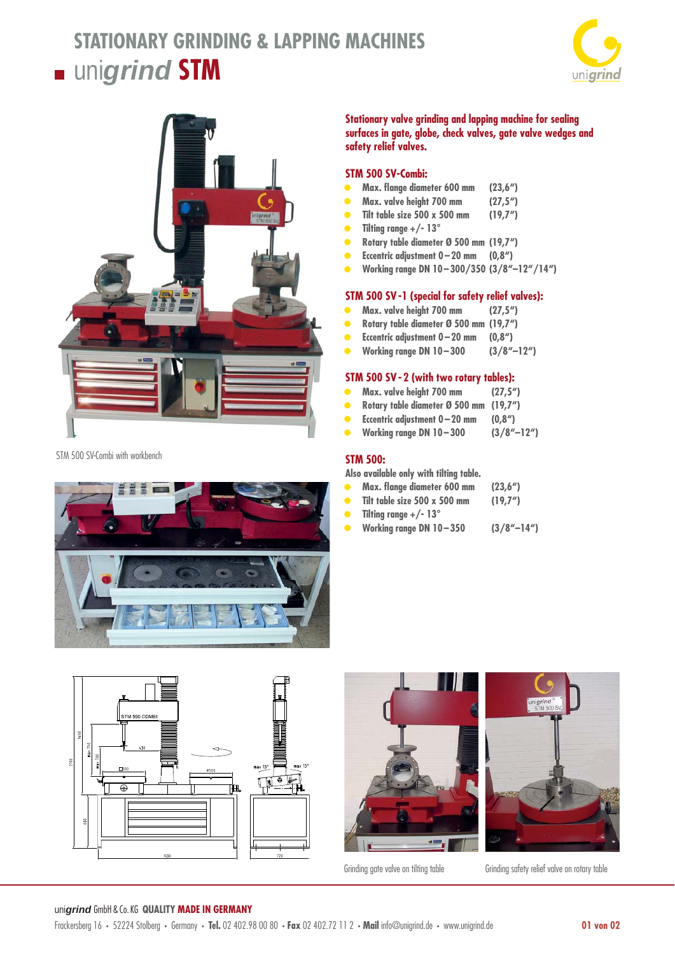# **STATIONARY GRINDING & LAPPING MACHINES**  $\blacksquare$  unigrind **STM**





STM 500 SV-Combi with workbench



**Stationary valve grinding and lapping machine for sealing surfaces in gate, globe, check valves, gate valve wedges and safety relief valves.** 

## **STM 500 SV-Combi:**

- **• Max. fl ange diameter 600 mm (23,6")**
- **• Max. valve height 700 mm (27,5")**
- **• Tilt table size 500 x 500 mm (19,7")**
- **• Tilting range +/- 13°**
- **• Rotary table diameter Ø 500 mm (19,7")**
- **• Eccentric adjustment 0 20 mm (0,8")**
- **• Working range DN 10 300/350 (3/8"–12"/14")**

#### **STM 500 SV -1 (special for safety relief valves):**

- **• Max. valve height 700 mm (27,5")**
- **• Rotary table diameter Ø 500 mm (19,7")**
- **• Eccentric adjustment 0 20 mm (0,8")**
- **• Working range DN 10 300 (3/8"–12")**

#### **STM 500 SV - 2 (with two rotary tables):**

- **• Max. valve height 700 mm (27,5")**
- **• Rotary table diameter Ø 500 mm (19,7")**
- **• Eccentric adjustment 0 20 mm (0,8")**
- **• Working range DN 10 300 (3/8"–12")**

#### **STM 500:**

**Also available only with tilting table.**

- **•** Max. flange diameter 600 mm (23,6")
- **• Tilt table size 500 x 500 mm (19,7")**
- **• Tilting range +/- 13°**
- **• Working range DN 10 350 (3/8"–14")**







Grinding gate valve on tilting table Grinding safety relief valve on rotary table

#### uni*grind* GmbH & Co. KG **QUALITY MADE IN GERMANY**